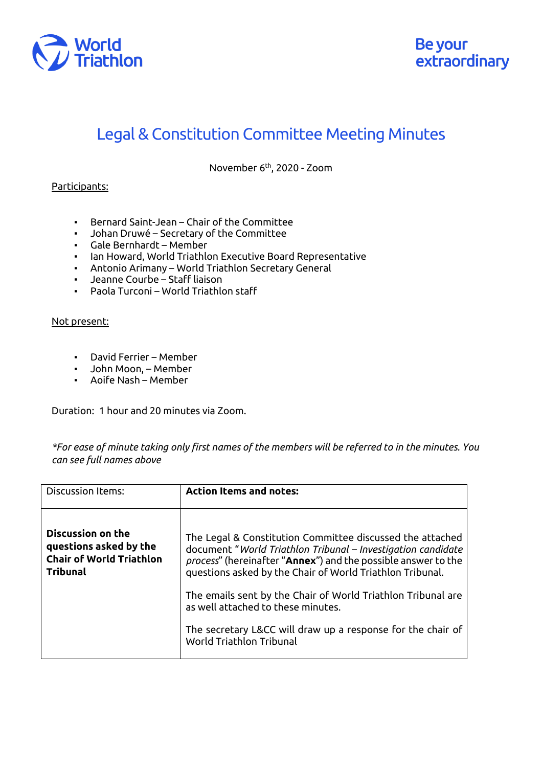

## Legal & Constitution Committee Meeting Minutes

November 6th, 2020 - Zoom

## Participants:

- Bernard Saint-Jean Chair of the Committee
- Johan Druwé Secretary of the Committee
- Gale Bernhardt Member
- Ian Howard, World Triathlon Executive Board Representative
- Antonio Arimany World Triathlon Secretary General
- Jeanne Courbe Staff liaison
- Paola Turconi World Triathlon staff

## Not present:

- David Ferrier Member
- John Moon, Member
- Aoife Nash Member

Duration: 1 hour and 20 minutes via Zoom.

*\*For ease of minute taking only first names of the members will be referred to in the minutes. You can see full names above*

| <b>Discussion Items:</b>                                                                                 | <b>Action Items and notes:</b>                                                                                                                                                                                                                          |
|----------------------------------------------------------------------------------------------------------|---------------------------------------------------------------------------------------------------------------------------------------------------------------------------------------------------------------------------------------------------------|
| <b>Discussion on the</b><br>questions asked by the<br><b>Chair of World Triathlon</b><br><b>Tribunal</b> | The Legal & Constitution Committee discussed the attached<br>document "World Triathlon Tribunal - Investigation candidate<br>process" (hereinafter "Annex") and the possible answer to the<br>questions asked by the Chair of World Triathlon Tribunal. |
|                                                                                                          | The emails sent by the Chair of World Triathlon Tribunal are<br>as well attached to these minutes.                                                                                                                                                      |
|                                                                                                          | The secretary L&CC will draw up a response for the chair of<br>World Triathlon Tribunal                                                                                                                                                                 |